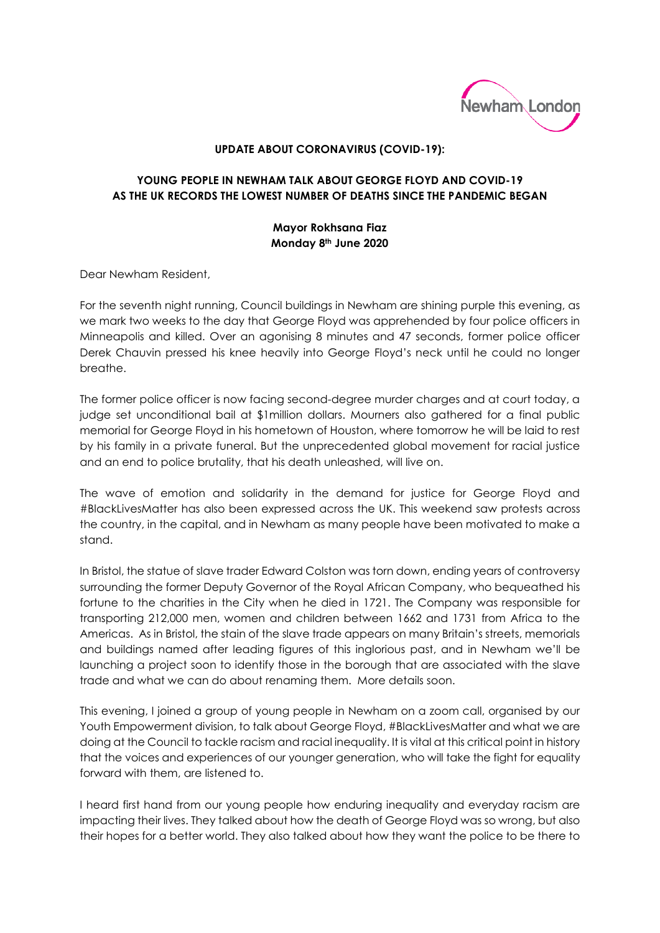

## **UPDATE ABOUT CORONAVIRUS (COVID-19):**

## **YOUNG PEOPLE IN NEWHAM TALK ABOUT GEORGE FLOYD AND COVID-19 AS THE UK RECORDS THE LOWEST NUMBER OF DEATHS SINCE THE PANDEMIC BEGAN**

## **Mayor Rokhsana Fiaz Monday 8th June 2020**

Dear Newham Resident,

For the seventh night running, Council buildings in Newham are shining purple this evening, as we mark two weeks to the day that George Floyd was apprehended by four police officers in Minneapolis and killed. Over an agonising 8 minutes and 47 seconds, former police officer Derek Chauvin pressed his knee heavily into George Floyd's neck until he could no longer breathe.

The former police officer is now facing second-degree murder charges and at court today, a judge set unconditional bail at \$1million dollars. Mourners also gathered for a final public memorial for George Floyd in his hometown of Houston, where tomorrow he will be laid to rest by his family in a private funeral. But the unprecedented global movement for racial justice and an end to police brutality, that his death unleashed, will live on.

The wave of emotion and solidarity in the demand for justice for George Floyd and #BlackLivesMatter has also been expressed across the UK. This weekend saw protests across the country, in the capital, and in Newham as many people have been motivated to make a stand.

In Bristol, the statue of slave trader Edward Colston was torn down, ending years of controversy surrounding the former Deputy Governor of the Royal African Company, who bequeathed his fortune to the charities in the City when he died in 1721. The Company was responsible for transporting 212,000 men, women and children between 1662 and 1731 from Africa to the Americas. As in Bristol, the stain of the slave trade appears on many Britain's streets, memorials and buildings named after leading figures of this inglorious past, and in Newham we'll be launching a project soon to identify those in the borough that are associated with the slave trade and what we can do about renaming them. More details soon.

This evening, I joined a group of young people in Newham on a zoom call, organised by our Youth Empowerment division, to talk about George Floyd, #BlackLivesMatter and what we are doing at the Council to tackle racism and racial inequality. It is vital at this critical point in history that the voices and experiences of our younger generation, who will take the fight for equality forward with them, are listened to.

I heard first hand from our young people how enduring inequality and everyday racism are impacting their lives. They talked about how the death of George Floyd was so wrong, but also their hopes for a better world. They also talked about how they want the police to be there to